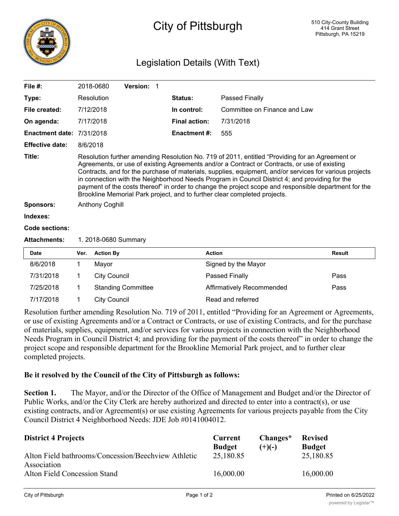

## City of Pittsburgh

## Legislation Details (With Text)

| File $#$ :                       |                                                                                                                                                                                                                                                                                                                                                                                                                                                                                                                                                                                                    | 2018-0680           | Version: 1                |  |                      |                              |               |
|----------------------------------|----------------------------------------------------------------------------------------------------------------------------------------------------------------------------------------------------------------------------------------------------------------------------------------------------------------------------------------------------------------------------------------------------------------------------------------------------------------------------------------------------------------------------------------------------------------------------------------------------|---------------------|---------------------------|--|----------------------|------------------------------|---------------|
| Type:                            |                                                                                                                                                                                                                                                                                                                                                                                                                                                                                                                                                                                                    | Resolution          |                           |  | Status:              | Passed Finally               |               |
| File created:                    |                                                                                                                                                                                                                                                                                                                                                                                                                                                                                                                                                                                                    | 7/12/2018           |                           |  | In control:          | Committee on Finance and Law |               |
| On agenda:                       |                                                                                                                                                                                                                                                                                                                                                                                                                                                                                                                                                                                                    | 7/17/2018           |                           |  | <b>Final action:</b> | 7/31/2018                    |               |
| <b>Enactment date: 7/31/2018</b> |                                                                                                                                                                                                                                                                                                                                                                                                                                                                                                                                                                                                    |                     |                           |  | <b>Enactment #:</b>  | 555                          |               |
| <b>Effective date:</b>           | 8/6/2018                                                                                                                                                                                                                                                                                                                                                                                                                                                                                                                                                                                           |                     |                           |  |                      |                              |               |
| Title:                           | Resolution further amending Resolution No. 719 of 2011, entitled "Providing for an Agreement or<br>Agreements, or use of existing Agreements and/or a Contract or Contracts, or use of existing<br>Contracts, and for the purchase of materials, supplies, equipment, and/or services for various projects<br>in connection with the Neighborhood Needs Program in Council District 4; and providing for the<br>payment of the costs thereof" in order to change the project scope and responsible department for the<br>Brookline Memorial Park project, and to further clear completed projects. |                     |                           |  |                      |                              |               |
| <b>Sponsors:</b>                 | <b>Anthony Coghill</b>                                                                                                                                                                                                                                                                                                                                                                                                                                                                                                                                                                             |                     |                           |  |                      |                              |               |
| Indexes:                         |                                                                                                                                                                                                                                                                                                                                                                                                                                                                                                                                                                                                    |                     |                           |  |                      |                              |               |
| Code sections:                   |                                                                                                                                                                                                                                                                                                                                                                                                                                                                                                                                                                                                    |                     |                           |  |                      |                              |               |
| <b>Attachments:</b>              | 1. 2018-0680 Summary                                                                                                                                                                                                                                                                                                                                                                                                                                                                                                                                                                               |                     |                           |  |                      |                              |               |
| <b>Date</b>                      | Ver.                                                                                                                                                                                                                                                                                                                                                                                                                                                                                                                                                                                               | <b>Action By</b>    |                           |  |                      | <b>Action</b>                | <b>Result</b> |
| 8/6/2018                         | 1                                                                                                                                                                                                                                                                                                                                                                                                                                                                                                                                                                                                  | Mayor               |                           |  |                      | Signed by the Mayor          |               |
| 7/31/2018                        | 1                                                                                                                                                                                                                                                                                                                                                                                                                                                                                                                                                                                                  | <b>City Council</b> |                           |  |                      | <b>Passed Finally</b>        | Pass          |
| 7/25/2018                        | 1                                                                                                                                                                                                                                                                                                                                                                                                                                                                                                                                                                                                  |                     | <b>Standing Committee</b> |  |                      | Affirmatively Recommended    | Pass          |
| 7/17/2018                        | 1                                                                                                                                                                                                                                                                                                                                                                                                                                                                                                                                                                                                  | <b>City Council</b> |                           |  |                      | Read and referred            |               |

Resolution further amending Resolution No. 719 of 2011, entitled "Providing for an Agreement or Agreements, or use of existing Agreements and/or a Contract or Contracts, or use of existing Contracts, and for the purchase of materials, supplies, equipment, and/or services for various projects in connection with the Neighborhood Needs Program in Council District 4; and providing for the payment of the costs thereof" in order to change the project scope and responsible department for the Brookline Memorial Park project, and to further clear completed projects.

## **Be it resolved by the Council of the City of Pittsburgh as follows:**

**Section 1.** The Mayor, and/or the Director of the Office of Management and Budget and/or the Director of Public Works, and/or the City Clerk are hereby authorized and directed to enter into a contract(s), or use existing contracts, and/or Agreement(s) or use existing Agreements for various projects payable from the City Council District 4 Neighborhood Needs: JDE Job #0141004012.

| <b>District 4 Projects</b>                                         | Current<br><b>Budget</b> | Changes*<br>$(+)(-)$ | <b>Revised</b><br><b>Budget</b> |
|--------------------------------------------------------------------|--------------------------|----------------------|---------------------------------|
| Alton Field bathrooms/Concession/Beechview Athletic<br>Association | 25,180.85                |                      | 25,180.85                       |
| Alton Field Concession Stand                                       | 16,000.00                |                      | 16,000.00                       |